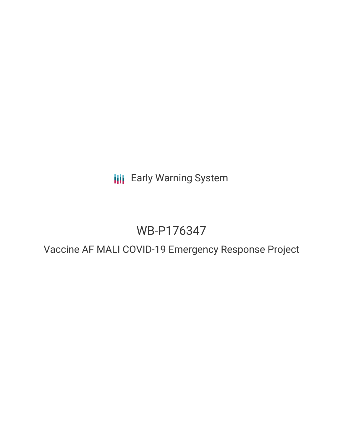**III** Early Warning System

# WB-P176347

Vaccine AF MALI COVID-19 Emergency Response Project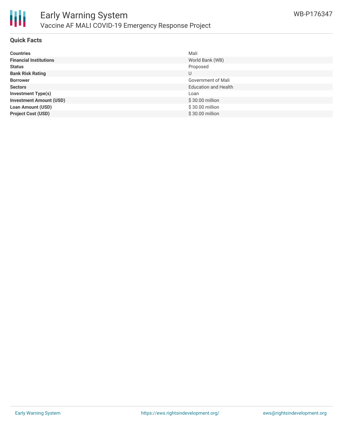

## **Quick Facts**

| <b>Countries</b>               | Mali                        |
|--------------------------------|-----------------------------|
| <b>Financial Institutions</b>  | World Bank (WB)             |
| <b>Status</b>                  | Proposed                    |
| <b>Bank Risk Rating</b>        | U                           |
| <b>Borrower</b>                | Government of Mali          |
| <b>Sectors</b>                 | <b>Education and Health</b> |
| <b>Investment Type(s)</b>      | Loan                        |
| <b>Investment Amount (USD)</b> | $$30.00$ million            |
| <b>Loan Amount (USD)</b>       | \$30.00 million             |
| <b>Project Cost (USD)</b>      | \$30.00 million             |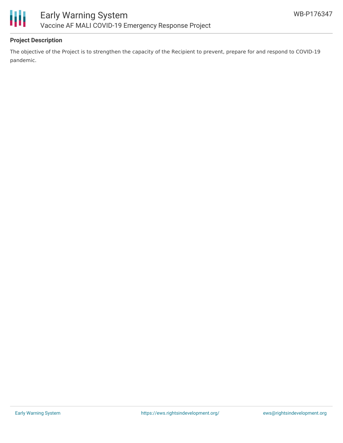



# **Project Description**

The objective of the Project is to strengthen the capacity of the Recipient to prevent, prepare for and respond to COVID-19 pandemic.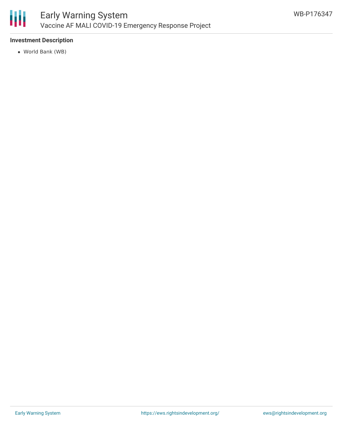

# **Investment Description**

World Bank (WB)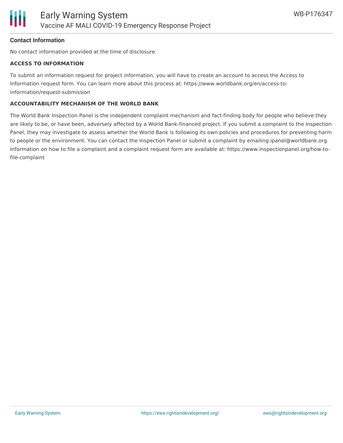

## **Contact Information**

No contact information provided at the time of disclosure.

### **ACCESS TO INFORMATION**

To submit an information request for project information, you will have to create an account to access the Access to Information request form. You can learn more about this process at: https://www.worldbank.org/en/access-toinformation/request-submission

### **ACCOUNTABILITY MECHANISM OF THE WORLD BANK**

The World Bank Inspection Panel is the independent complaint mechanism and fact-finding body for people who believe they are likely to be, or have been, adversely affected by a World Bank-financed project. If you submit a complaint to the Inspection Panel, they may investigate to assess whether the World Bank is following its own policies and procedures for preventing harm to people or the environment. You can contact the Inspection Panel or submit a complaint by emailing ipanel@worldbank.org. Information on how to file a complaint and a complaint request form are available at: https://www.inspectionpanel.org/how-tofile-complaint